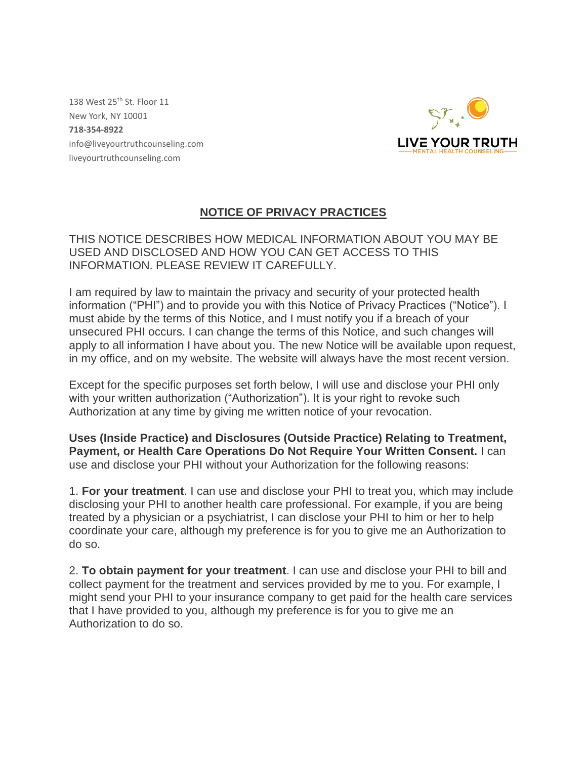138 West 25<sup>th</sup> St. Floor 11 New York, NY 10001 **718-354-8922** info@liveyourtruthcounseling.com liveyourtruthcounseling.com



# **NOTICE OF PRIVACY PRACTICES**

THIS NOTICE DESCRIBES HOW MEDICAL INFORMATION ABOUT YOU MAY BE USED AND DISCLOSED AND HOW YOU CAN GET ACCESS TO THIS INFORMATION. PLEASE REVIEW IT CAREFULLY.

I am required by law to maintain the privacy and security of your protected health information ("PHI") and to provide you with this Notice of Privacy Practices ("Notice"). I must abide by the terms of this Notice, and I must notify you if a breach of your unsecured PHI occurs. I can change the terms of this Notice, and such changes will apply to all information I have about you. The new Notice will be available upon request, in my office, and on my website. The website will always have the most recent version.

Except for the specific purposes set forth below, I will use and disclose your PHI only with your written authorization ("Authorization"). It is your right to revoke such Authorization at any time by giving me written notice of your revocation.

**Uses (Inside Practice) and Disclosures (Outside Practice) Relating to Treatment, Payment, or Health Care Operations Do Not Require Your Written Consent.** I can use and disclose your PHI without your Authorization for the following reasons:

1. **For your treatment**. I can use and disclose your PHI to treat you, which may include disclosing your PHI to another health care professional. For example, if you are being treated by a physician or a psychiatrist, I can disclose your PHI to him or her to help coordinate your care, although my preference is for you to give me an Authorization to do so.

2. **To obtain payment for your treatment**. I can use and disclose your PHI to bill and collect payment for the treatment and services provided by me to you. For example, I might send your PHI to your insurance company to get paid for the health care services that I have provided to you, although my preference is for you to give me an Authorization to do so.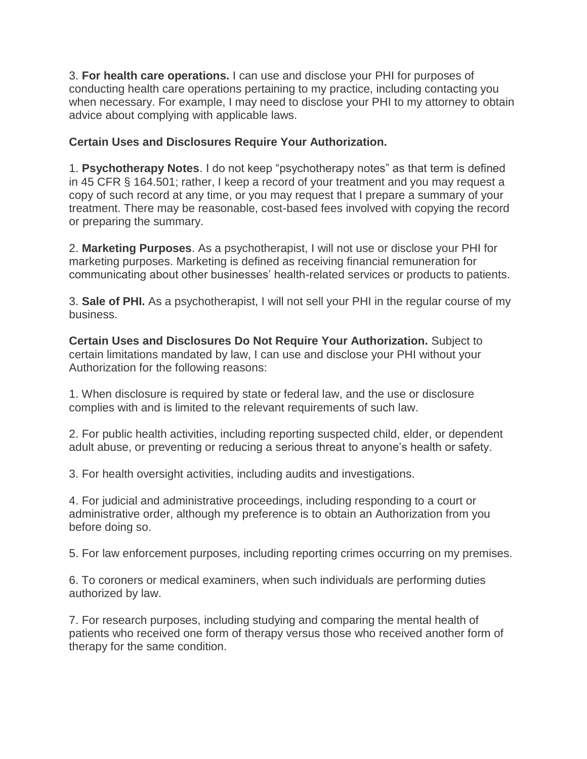3. **For health care operations.** I can use and disclose your PHI for purposes of conducting health care operations pertaining to my practice, including contacting you when necessary. For example, I may need to disclose your PHI to my attorney to obtain advice about complying with applicable laws.

#### **Certain Uses and Disclosures Require Your Authorization.**

1. **Psychotherapy Notes**. I do not keep "psychotherapy notes" as that term is defined in 45 CFR § 164.501; rather, I keep a record of your treatment and you may request a copy of such record at any time, or you may request that I prepare a summary of your treatment. There may be reasonable, cost-based fees involved with copying the record or preparing the summary.

2. **Marketing Purposes**. As a psychotherapist, I will not use or disclose your PHI for marketing purposes. Marketing is defined as receiving financial remuneration for communicating about other businesses' health-related services or products to patients.

3. **Sale of PHI.** As a psychotherapist, I will not sell your PHI in the regular course of my business.

**Certain Uses and Disclosures Do Not Require Your Authorization.** Subject to certain limitations mandated by law, I can use and disclose your PHI without your Authorization for the following reasons:

1. When disclosure is required by state or federal law, and the use or disclosure complies with and is limited to the relevant requirements of such law.

2. For public health activities, including reporting suspected child, elder, or dependent adult abuse, or preventing or reducing a serious threat to anyone's health or safety.

3. For health oversight activities, including audits and investigations.

4. For judicial and administrative proceedings, including responding to a court or administrative order, although my preference is to obtain an Authorization from you before doing so.

5. For law enforcement purposes, including reporting crimes occurring on my premises.

6. To coroners or medical examiners, when such individuals are performing duties authorized by law.

7. For research purposes, including studying and comparing the mental health of patients who received one form of therapy versus those who received another form of therapy for the same condition.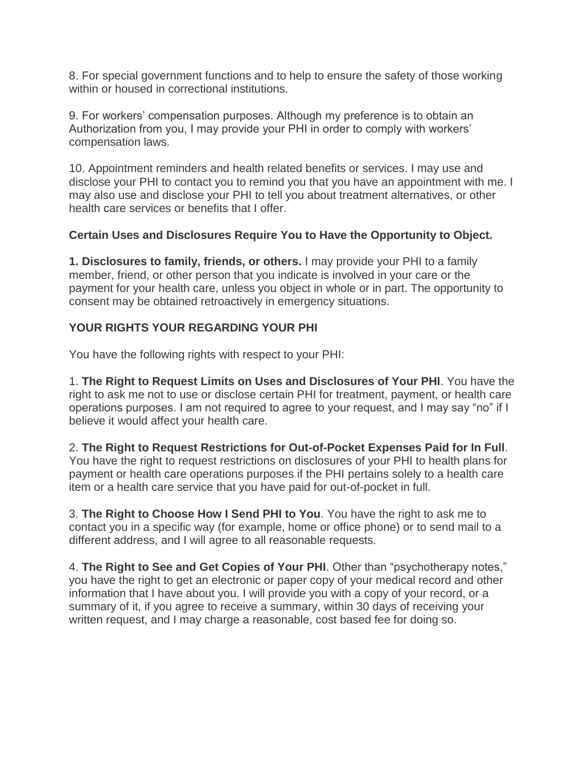8. For special government functions and to help to ensure the safety of those working within or housed in correctional institutions.

9. For workers' compensation purposes. Although my preference is to obtain an Authorization from you, I may provide your PHI in order to comply with workers' compensation laws.

10. Appointment reminders and health related benefits or services. I may use and disclose your PHI to contact you to remind you that you have an appointment with me. I may also use and disclose your PHI to tell you about treatment alternatives, or other health care services or benefits that I offer.

#### **Certain Uses and Disclosures Require You to Have the Opportunity to Object.**

**1. Disclosures to family, friends, or others.** I may provide your PHI to a family member, friend, or other person that you indicate is involved in your care or the payment for your health care, unless you object in whole or in part. The opportunity to consent may be obtained retroactively in emergency situations.

#### **YOUR RIGHTS YOUR REGARDING YOUR PHI**

You have the following rights with respect to your PHI:

1. **The Right to Request Limits on Uses and Disclosures of Your PHI**. You have the right to ask me not to use or disclose certain PHI for treatment, payment, or health care operations purposes. I am not required to agree to your request, and I may say "no" if I believe it would affect your health care.

2. **The Right to Request Restrictions for Out-of-Pocket Expenses Paid for In Full**. You have the right to request restrictions on disclosures of your PHI to health plans for payment or health care operations purposes if the PHI pertains solely to a health care item or a health care service that you have paid for out-of-pocket in full.

3. **The Right to Choose How I Send PHI to You**. You have the right to ask me to contact you in a specific way (for example, home or office phone) or to send mail to a different address, and I will agree to all reasonable requests.

4. **The Right to See and Get Copies of Your PHI**. Other than "psychotherapy notes," you have the right to get an electronic or paper copy of your medical record and other information that I have about you. I will provide you with a copy of your record, or a summary of it, if you agree to receive a summary, within 30 days of receiving your written request, and I may charge a reasonable, cost based fee for doing so.